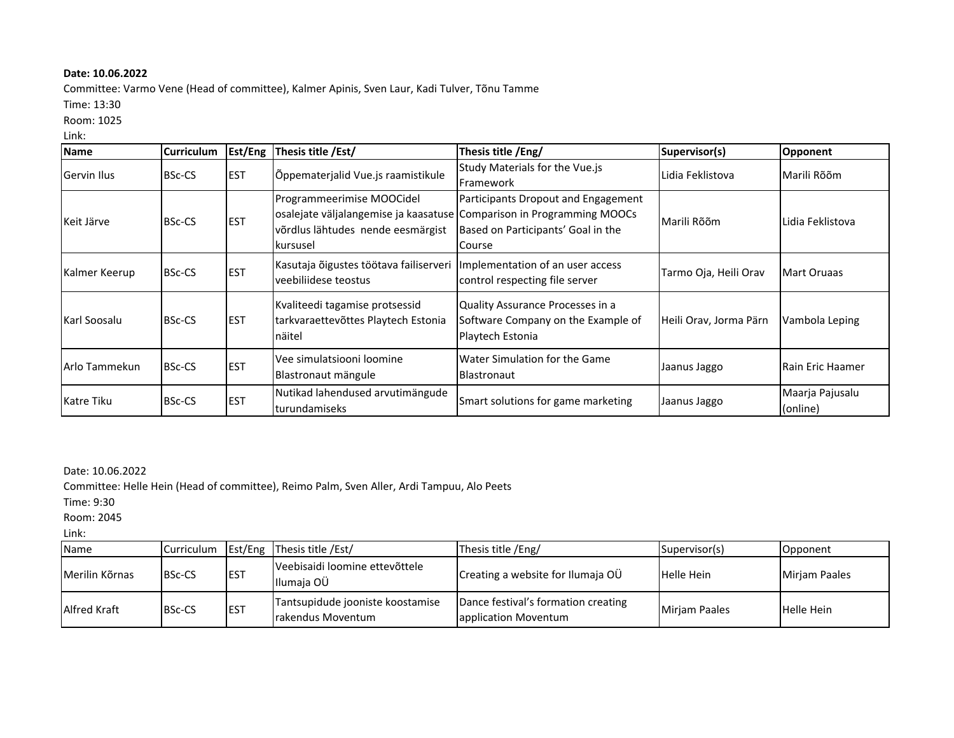## **Date: 10.06.2022**

Committee: Varmo Vene (Head of committee), Kalmer Apinis, Sven Laur, Kadi Tulver, Tõnu Tamme

Time: 13:30

## Room: 1025

## Link:

| <b>Name</b>   | <b>Curriculum</b> | Est/Eng    | Thesis title /Est/                                                                                                                                  | Thesis title /Eng/                                                                         | Supervisor(s)          | Opponent                    |
|---------------|-------------------|------------|-----------------------------------------------------------------------------------------------------------------------------------------------------|--------------------------------------------------------------------------------------------|------------------------|-----------------------------|
| Gervin Ilus   | <b>BSc-CS</b>     | <b>EST</b> | Õppematerjalid Vue.js raamistikule                                                                                                                  | Study Materials for the Vue.js<br>Framework                                                | Lidia Feklistova       | Marili Rõõm                 |
| Keit Järve    | <b>BSc-CS</b>     | <b>EST</b> | Programmeerimise MOOCidel<br>osalejate väljalangemise ja kaasatuse Comparison in Programming MOOCs<br>võrdlus lähtudes nende eesmärgist<br>kursusel | Participants Dropout and Engagement<br>Based on Participants' Goal in the<br>Course        | Marili Rõõm            | Lidia Feklistova            |
| Kalmer Keerup | <b>BSc-CS</b>     | <b>EST</b> | Kasutaja õigustes töötava failiserveri Implementation of an user access<br>veebiliidese teostus                                                     | control respecting file server                                                             | Tarmo Oja, Heili Orav  | Mart Oruaas                 |
| Karl Soosalu  | <b>BSc-CS</b>     | <b>EST</b> | Kvaliteedi tagamise protsessid<br>tarkvaraettevõttes Playtech Estonia<br>näitel                                                                     | Quality Assurance Processes in a<br>Software Company on the Example of<br>Playtech Estonia | Heili Orav, Jorma Pärn | Vambola Leping              |
| Arlo Tammekun | <b>BSc-CS</b>     | <b>EST</b> | Vee simulatsiooni loomine<br>Blastronaut mängule                                                                                                    | Water Simulation for the Game<br><b>Blastronaut</b>                                        | Jaanus Jaggo           | <b>Rain Eric Haamer</b>     |
| Katre Tiku    | <b>BSc-CS</b>     | <b>EST</b> | Nutikad lahendused arvutimängude<br>turundamiseks                                                                                                   | Smart solutions for game marketing                                                         | Jaanus Jaggo           | Maarja Pajusalu<br>(online) |

## Date: 10.06.2022

Committee: Helle Hein (Head of committee), Reimo Palm, Sven Aller, Ardi Tampuu, Alo Peets

Time: 9:30

Room: 2045

Link:

| <b>Name</b>    | Curriculum    |             | Est/Eng Thesis title / Est/                            | Thesis title /Eng/                                          | Supervisor(s)        | Opponent      |
|----------------|---------------|-------------|--------------------------------------------------------|-------------------------------------------------------------|----------------------|---------------|
| Merilin Kõrnas | <b>BSc-CS</b> | <b>EST</b>  | Veebisaidi loomine ettevõttele<br>Illumaia OÜ          | Creating a website for Ilumaja OÜ                           | <b>Helle Hein</b>    | Mirjam Paales |
| Alfred Kraft   | <b>BSc-CS</b> | <b>IEST</b> | Tantsupidude jooniste koostamise<br>Irakendus Moventum | Dance festival's formation creating<br>application Moventum | <b>Miriam Paales</b> | Helle Hein    |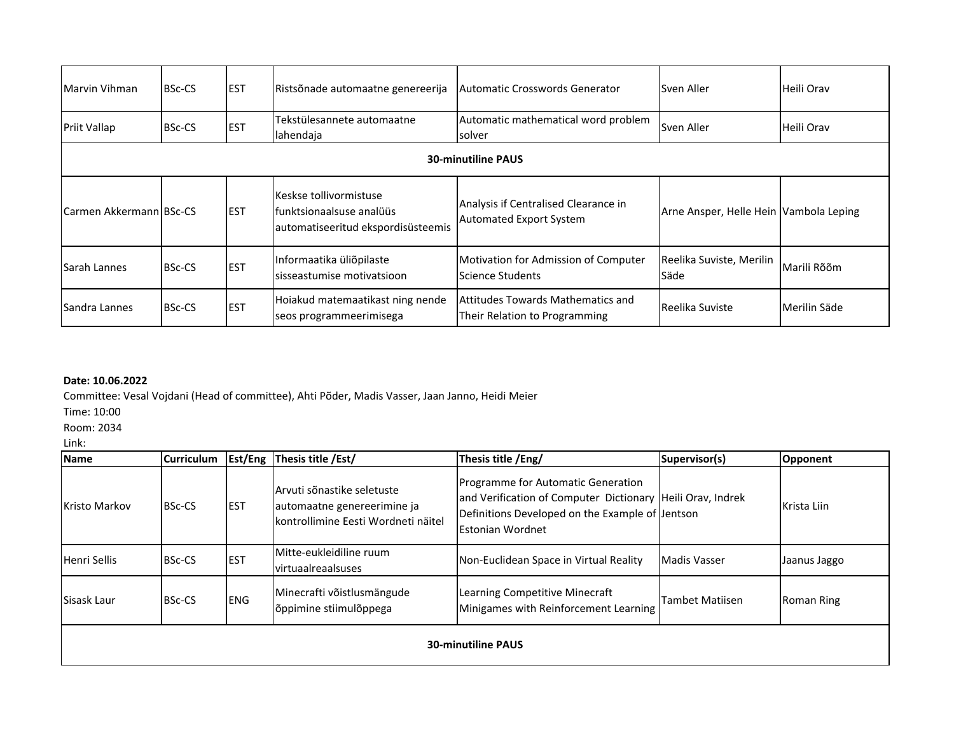| Marvin Vihman             | <b>BSc-CS</b> | <b>IEST</b> | Ristsõnade automaatne genereerija                                                         | Automatic Crosswords Generator                                            | Sven Aller                             | Heili Orav   |  |
|---------------------------|---------------|-------------|-------------------------------------------------------------------------------------------|---------------------------------------------------------------------------|----------------------------------------|--------------|--|
| Priit Vallap              | <b>BSc-CS</b> | <b>EST</b>  | Tekstülesannete automaatne<br>lahendaja                                                   | Automatic mathematical word problem<br>solver                             | Sven Aller                             | Heili Orav   |  |
| <b>30-minutiline PAUS</b> |               |             |                                                                                           |                                                                           |                                        |              |  |
| Carmen Akkermann BSc-CS   |               | <b>IEST</b> | Keskse tollivormistuse<br>lfunktsionaalsuse analüüs<br>automatiseeritud ekspordisüsteemis | Analysis if Centralised Clearance in<br>Automated Export System           | Arne Ansper, Helle Hein Vambola Leping |              |  |
| <b>Sarah Lannes</b>       | <b>BSc-CS</b> | <b>EST</b>  | Informaatika üliõpilaste<br>sisseastumise motivatsioon                                    | Motivation for Admission of Computer<br>Science Students                  | Reelika Suviste, Merilin<br>Säde       | Marili Rõõm  |  |
| Sandra Lannes             | <b>BSc-CS</b> | <b>EST</b>  | Hoiakud matemaatikast ning nende<br>seos programmeerimisega                               | <b>Attitudes Towards Mathematics and</b><br>Their Relation to Programming | Reelika Suviste                        | Merilin Säde |  |

# **Date: 10.06.2022**

Committee: Vesal Vojdani (Head of committee), Ahti Põder, Madis Vasser, Jaan Janno, Heidi Meier

Time: 10:00

Room: 2034

Link:

| <b>Name</b>               | <b>Curriculum</b> |             | <b>Est/Eng Thesis title / Est/</b>                                                               | Thesis title /Eng/                                                                                                                                                             | Supervisor(s)       | Opponent     |  |
|---------------------------|-------------------|-------------|--------------------------------------------------------------------------------------------------|--------------------------------------------------------------------------------------------------------------------------------------------------------------------------------|---------------------|--------------|--|
| <b>Kristo Markov</b>      | <b>BSc-CS</b>     | <b>IEST</b> | Arvuti sõnastike seletuste<br>automaatne genereerimine ja<br>kontrollimine Eesti Wordneti näitel | Programme for Automatic Generation<br>and Verification of Computer Dictionary Heili Orav, Indrek<br>Definitions Developed on the Example of Jentson<br><b>Estonian Wordnet</b> |                     | Krista Liin  |  |
| Henri Sellis              | <b>BSc-CS</b>     | <b>EST</b>  | Mitte-eukleidiline ruum<br>virtuaalreaalsuses                                                    | Non-Euclidean Space in Virtual Reality                                                                                                                                         | <b>Madis Vasser</b> | Jaanus Jaggo |  |
| Sisask Laur               | <b>BSc-CS</b>     | <b>IENG</b> | Minecrafti võistlusmängude<br>õppimine stiimulõppega                                             | Learning Competitive Minecraft<br>Minigames with Reinforcement Learning                                                                                                        | Tambet Matiisen     | Roman Ring   |  |
| <b>30-minutiline PAUS</b> |                   |             |                                                                                                  |                                                                                                                                                                                |                     |              |  |